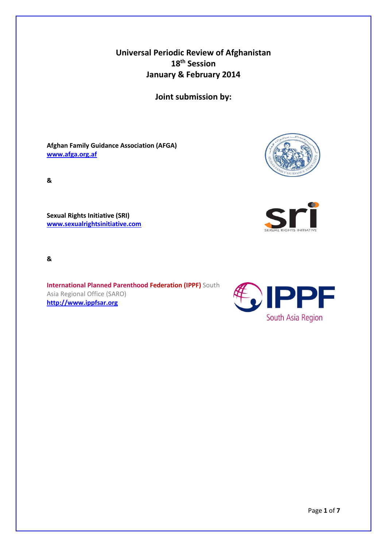**Universal Periodic Review of Afghanistan 18th Session January & February 2014**

**Joint submission by:**

**Afghan Family Guidance Association (AFGA) [www.afga.org.af](http://www.afga.org.af/)**



**Sexual Rights Initiative (SRI) [www.sexualrightsinitiative.com](http://www.sexualrightsinitiative.com/)**

**&**

**International Planned Parenthood Federation (IPPF)** South Asia Regional Office (SARO) **[http://www.ippfsar.org](http://www.ippfsar.org/)**







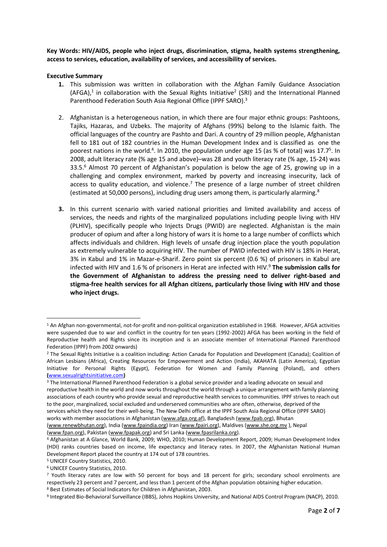**Key Words: HIV/AIDS, people who inject drugs, discrimination, stigma, health systems strengthening, access to services, education, availability of services, and accessibility of services.** 

#### **Executive Summary**

- **1.** This submission was written in collaboration with the Afghan Family Guidance Association  $(AFGA)<sup>1</sup>$  in collaboration with the Sexual Rights Initiative<sup>2</sup> (SRI) and the International Planned Parenthood Federation South Asia Regional Office (IPPF SARO).<sup>3</sup>
- 2. Afghanistan is a heterogeneous nation, in which there are four major ethnic groups: Pashtoons, Tajiks, Hazaras, and Uzbeks. The majority of Afghans (99%) belong to the Islamic faith. The official languages of the country are Pashto and Dari. A country of 29 million people, Afghanistan fell to 181 out of 182 countries in the Human Development Index and is classified as one the poorest nations in the world.<sup>4</sup>. In 2010, the population under age 15 (as % of total) was 17.7<sup>5</sup>. In 2008, adult literacy rate (% age 15 and above)–was 28 and youth literacy rate (% age, 15-24) was 33.5.<sup>6</sup> Almost 70 percent of Afghanistan's population is below the age of 25, growing up in a challenging and complex environment, marked by poverty and increasing insecurity, lack of access to quality education, and violence. $<sup>7</sup>$  The presence of a large number of street children</sup> (estimated at 50,000 persons), including drug users among them, is particularly alarming.<sup>8</sup>
- **3.** In this current scenario with varied national priorities and limited availability and access of services, the needs and rights of the marginalized populations including people living with HIV (PLHIV), specifically people who Injects Drugs (PWID) are neglected. Afghanistan is the main producer of opium and after a long history of wars it is home to a large number of conflicts which affects individuals and children. High levels of unsafe drug injection place the youth population as extremely vulnerable to acquiring HIV. The number of PWID infected with HIV is 18% in Herat, 3% in Kabul and 1% in Mazar-e-Sharif. Zero point six percent (0.6 %) of prisoners in Kabul are infected with HIV and 1.6 % of prisoners in Herat are infected with HIV.<sup>9</sup> **The submission calls for the Government of Afghanistan to address the pressing need to deliver right-based and stigma-free health services for all Afghan citizens, particularly those living with HIV and those who inject drugs.**

**.** 

<sup>1</sup> An Afghan non-governmental, not-for-profit and non-political organization established in 1968. However, AFGA activities were suspended due to war and conflict in the country for ten years (1992-2002) AFGA has been working in the field of Reproductive health and Rights since its inception and is an associate member of International Planned Parenthood Federation (IPPF) from 2002 onwards)

<sup>&</sup>lt;sup>2</sup> The Sexual Rights Initiative is a coalition including: Action Canada for Population and Development (Canada); Coalition of African Lesbians (Africa), Creating Resources for Empowerment and Action (India), AKAHATA (Latin America), Egyptian Initiative for Personal Rights (Egypt), Federation for Women and Family Planning (Poland), and others **(**[www.sexualrightsinitiative.com](http://www.sexualrightsinitiative.com/)**)**

<sup>&</sup>lt;sup>3</sup> The International Planned Parenthood Federation is a global service provider and a leading advocate on sexual and reproductive health in the world and now works throughout the world through a unique arrangement with family planning associations of each country who provide sexual and reproductive health services to communities. IPPF strives to reach out to the poor, marginalized, social excluded and underserved communities who are often, otherwise, deprived of the services which they need for their well-being. The New Delhi office at the IPPF South Asia Regional Office (IPPF SARO) works with member associations in Afghanistan [\(www.afga.org.af\)](http://www.afga.org.af/), Bangladesh [\(www.fpab.org\)](http://www.fpab.org/), Bhutan [\(www.renewbhutan.org\)](http://www.renewbhutan.org/), India [\(www.fpaindia.org\)](http://www.fpaindia.org/) Iran [\(www.fpairi.org\)](http://www.fpairi.org/), Maldives [\(www.she.org.mv](http://www.she.org.mv/) ), Nepal

[<sup>\(</sup>www.fpan.org\)](http://www.fpan.org/), Pakistan [\(www.fpapak.org\)](http://www.fpapak.org/) and Sri Lanka [\(www.fpasrilanka.org\)](http://www.fpasrilanka.org/).

<sup>4</sup> Afghanistan at A Glance, World Bank, 2009; WHO, 2010; Human Development Report, 2009; Human Development Index (HDI) ranks countries based on income, life expectancy and literacy rates. In 2007, the Afghanistan National Human Development Report placed the country at 174 out of 178 countries.

<sup>5</sup> UNICEF Country Statistics, 2010.

<sup>6</sup> UNICEF Country Statistics, 2010.

<sup>&</sup>lt;sup>7</sup> Youth literacy rates are low with 50 percent for boys and 18 percent for girls; secondary school enrolments are respectively 23 percent and 7 percent, and less than 1 percent of the Afghan population obtaining higher education. <sup>8</sup> Best Estimates of Social Indicators for Children in Afghanistan, 2003.

<sup>&</sup>lt;sup>9</sup> Integrated Bio-Behavioral Surveillance (IBBS), Johns Hopkins University, and National AIDS Control Program (NACP), 2010.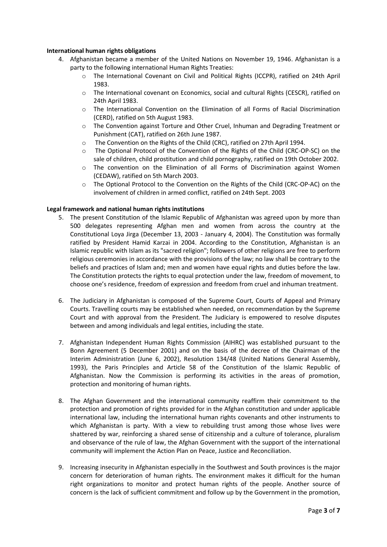## **International human rights obligations**

- 4. Afghanistan became a member of the United Nations on November 19, 1946. Afghanistan is a party to the following international Human Rights Treaties:
	- o The International Covenant on Civil and Political Rights (ICCPR), ratified on 24th April 1983.
	- o The International covenant on Economics, social and cultural Rights (CESCR), ratified on 24th April 1983.
	- o The International Convention on the Elimination of all Forms of Racial Discrimination (CERD), ratified on 5th August 1983.
	- $\circ$  The Convention against Torture and Other Cruel, Inhuman and Degrading Treatment or Punishment (CAT), ratified on 26th June 1987.
	- o The Convention on the Rights of the Child (CRC), ratified on 27th April 1994.
	- o The Optional Protocol of the Convention of the Rights of the Child (CRC-OP-SC) on the sale of children, child prostitution and child pornography, ratified on 19th October 2002.
	- $\circ$  The convention on the Elimination of all Forms of Discrimination against Women (CEDAW), ratified on 5th March 2003.
	- o The Optional Protocol to the Convention on the Rights of the Child (CRC-OP-AC) on the involvement of children in armed conflict, ratified on 24th Sept. 2003

## **Legal framework and national human rights institutions**

- 5. The present Constitution of the Islamic Republic of Afghanistan was agreed upon by more than 500 delegates representing Afghan men and women from across the country at the Constitutional Loya Jirga (December 13, 2003 - January 4, 2004). The Constitution was formally ratified by President Hamid Karzai in 2004. According to the Constitution, Afghanistan is an Islamic republic with Islam as its "sacred religion"; followers of other religions are free to perform religious ceremonies in accordance with the provisions of the law; no law shall be contrary to the beliefs and practices of Islam and; men and women have equal rights and duties before the law. The Constitution protects the rights to equal protection under the law, freedom of movement, to choose one's residence, freedom of expression and freedom from cruel and inhuman treatment.
- 6. The Judiciary in Afghanistan is composed of the Supreme Court, Courts of Appeal and Primary Courts. Travelling courts may be established when needed, on recommendation by the Supreme Court and with approval from the President. The Judiciary is empowered to resolve disputes between and among individuals and legal entities, including the state.
- 7. Afghanistan Independent Human Rights Commission (AIHRC) was established pursuant to the Bonn Agreement (5 December 2001) and on the basis of the decree of the Chairman of the Interim Administration (June 6, 2002), Resolution 134/48 (United Nations General Assembly, 1993), the Paris Principles and Article 58 of the Constitution of the Islamic Republic of Afghanistan. Now the Commission is performing its activities in the areas of promotion, protection and monitoring of human rights.
- 8. The Afghan Government and the international community reaffirm their commitment to the protection and promotion of rights provided for in the Afghan constitution and under applicable international law, including the international human rights covenants and other instruments to which Afghanistan is party. With a view to rebuilding trust among those whose lives were shattered by war, reinforcing a shared sense of citizenship and a culture of tolerance, pluralism and observance of the rule of law, the Afghan Government with the support of the international community will implement the Action Plan on Peace, Justice and Reconciliation.
- 9. Increasing insecurity in Afghanistan especially in the Southwest and South provinces is the major concern for deterioration of human rights. The environment makes it difficult for the human right organizations to monitor and protect human rights of the people. Another source of concern is the lack of sufficient commitment and follow up by the Government in the promotion,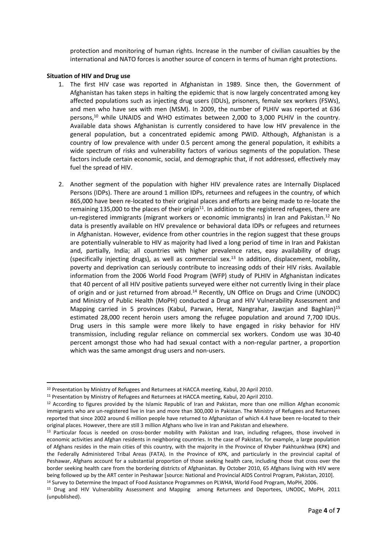protection and monitoring of human rights. Increase in the number of civilian casualties by the international and NATO forces is another source of concern in terms of human right protections.

### **Situation of HIV and Drug use**

**.** 

- 1. The first HIV case was reported in Afghanistan in 1989. Since then, the Government of Afghanistan has taken steps in halting the epidemic that is now largely concentrated among key affected populations such as injecting drug users (IDUs), prisoners, female sex workers (FSWs), and men who have sex with men (MSM). In 2009, the number of PLHIV was reported at 636 persons, $10$  while UNAIDS and WHO estimates between 2,000 to 3,000 PLHIV in the country. Available data shows Afghanistan is currently considered to have low HIV prevalence in the general population, but a concentrated epidemic among PWID. Although, Afghanistan is a country of low prevalence with under 0.5 percent among the general population, it exhibits a wide spectrum of risks and vulnerability factors of various segments of the population. These factors include certain economic, social, and demographic that, if not addressed, effectively may fuel the spread of HIV.
- 2. Another segment of the population with higher HIV prevalence rates are Internally Displaced Persons (IDPs). There are around 1 million IDPs, returnees and refugees in the country, of which 865,000 have been re-located to their original places and efforts are being made to re-locate the remaining 135,000 to the places of their origin<sup>11</sup>. In addition to the registered refugees, there are un-registered immigrants (migrant workers or economic immigrants) in Iran and Pakistan.<sup>12</sup> No data is presently available on HIV prevalence or behavioral data IDPs or refugees and returnees in Afghanistan. However, evidence from other countries in the region suggest that these groups are potentially vulnerable to HIV as majority had lived a long period of time in Iran and Pakistan and, partially, India; all countries with higher prevalence rates, easy availability of drugs (specifically injecting drugs), as well as commercial sex.<sup>13</sup> In addition, displacement, mobility, poverty and deprivation can seriously contribute to increasing odds of their HIV risks. Available information from the 2006 World Food Program (WFP) study of PLHIV in Afghanistan indicates that 40 percent of all HIV positive patients surveyed were either not currently living in their place of origin and or just returned from abroad.<sup>14</sup> Recently, UN Office on Drugs and Crime (UNODC) and Ministry of Public Health (MoPH) conducted a Drug and HIV Vulnerability Assessment and Mapping carried in 5 provinces (Kabul, Parwan, Herat, Nangrahar, Jawzjan and Baghlan)<sup>15</sup> estimated 28,000 recent heroin users among the refugee population and around 7,700 IDUs. Drug users in this sample were more likely to have engaged in risky behavior for HIV transmission, including regular reliance on commercial sex workers. Condom use was 30-40 percent amongst those who had had sexual contact with a non-regular partner, a proportion which was the same amongst drug users and non-users.

<sup>&</sup>lt;sup>10</sup> Presentation by Ministry of Refugees and Returnees at HACCA meeting, Kabul, 20 April 2010.

<sup>11</sup> Presentation by Ministry of Refugees and Returnees at HACCA meeting, Kabul, 20 April 2010.

<sup>&</sup>lt;sup>12</sup> According to figures provided by the Islamic Republic of Iran and Pakistan, more than one million Afghan economic immigrants who are un-registered live in Iran and more than 300,000 in Pakistan. The Ministry of Refugees and Returnees reported that since 2002 around 6 million people have returned to Afghanistan of which 4.4 have been re-located to their original places. However, there are still 3 million Afghans who live in Iran and Pakistan and elsewhere.

<sup>&</sup>lt;sup>13</sup> Particular focus is needed on cross-border mobility with Pakistan and Iran, including refugees, those involved in economic activities and Afghan residents in neighboring countries. In the case of Pakistan, for example, a large population of Afghans resides in the main cities of this country, with the majority in the Province of Khyber Pakhtunkhwa (KPK) and the Federally Administered Tribal Areas (FATA). In the Province of KPK, and particularly in the provincial capital of Peshawar, Afghans account for a substantial proportion of those seeking health care, including those that cross over the border seeking health care from the bordering districts of Afghanistan. By October 2010, 65 Afghans living with HIV were being followed up by the ART center in Peshawar [source: National and Provincial AIDS Control Program, Pakistan, 2010].

<sup>&</sup>lt;sup>14</sup> Survey to Determine the Impact of Food Assistance Programmes on PLWHA, World Food Program, MoPH, 2006.

<sup>15</sup> Drug and HIV Vulnerability Assessment and Mapping among Returnees and Deportees, UNODC, MoPH, 2011 (unpublished).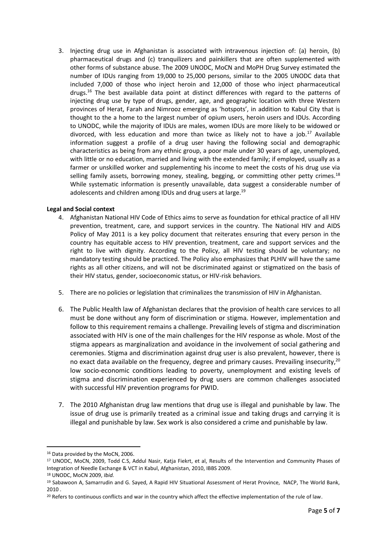3. Injecting drug use in Afghanistan is associated with intravenous injection of: (a) heroin, (b) pharmaceutical drugs and (c) tranquilizers and painkillers that are often supplemented with other forms of substance abuse. The 2009 UNODC, MoCN and MoPH Drug Survey estimated the number of IDUs ranging from 19,000 to 25,000 persons, similar to the 2005 UNODC data that included 7,000 of those who inject heroin and 12,000 of those who inject pharmaceutical drugs.<sup>16</sup> The best available data point at distinct differences with regard to the patterns of injecting drug use by type of drugs, gender, age, and geographic location with three Western provinces of Herat, Farah and Nimrooz emerging as 'hotspots', in addition to Kabul City that is thought to the a home to the largest number of opium users, heroin users and IDUs. According to UNODC, while the majority of IDUs are males, women IDUs are more likely to be widowed or divorced, with less education and more than twice as likely not to have a job.<sup>17</sup> Available information suggest a profile of a drug user having the following social and demographic characteristics as being from any ethnic group, a poor male under 30 years of age, unemployed, with little or no education, married and living with the extended family; if employed, usually as a farmer or unskilled worker and supplementing his income to meet the costs of his drug use via selling family assets, borrowing money, stealing, begging, or committing other petty crimes. $18$ While systematic information is presently unavailable, data suggest a considerable number of adolescents and children among IDUs and drug users at large.<sup>19</sup>

# **Legal and Social context**

- 4. Afghanistan National HIV Code of Ethics aims to serve as foundation for ethical practice of all HIV prevention, treatment, care, and support services in the country. The National HIV and AIDS Policy of May 2011 is a key policy document that reiterates ensuring that every person in the country has equitable access to HIV prevention, treatment, care and support services and the right to live with dignity. According to the Policy, all HIV testing should be voluntary; no mandatory testing should be practiced. The Policy also emphasizes that PLHIV will have the same rights as all other citizens, and will not be discriminated against or stigmatized on the basis of their HIV status, gender, socioeconomic status, or HIV-risk behaviors.
- 5. There are no policies or legislation that criminalizes the transmission of HIV in Afghanistan.
- 6. The Public Health law of Afghanistan declares that the provision of health care services to all must be done without any form of discrimination or stigma. However, implementation and follow to this requirement remains a challenge. Prevailing levels of stigma and discrimination associated with HIV is one of the main challenges for the HIV response as whole. Most of the stigma appears as marginalization and avoidance in the involvement of social gathering and ceremonies. Stigma and discrimination against drug user is also prevalent, however, there is no exact data available on the frequency, degree and primary causes. Prevailing insecurity, $^{20}$ low socio-economic conditions leading to poverty, unemployment and existing levels of stigma and discrimination experienced by drug users are common challenges associated with successful HIV prevention programs for PWID.
- 7. The 2010 Afghanistan drug law mentions that drug use is illegal and punishable by law. The issue of drug use is primarily treated as a criminal issue and taking drugs and carrying it is illegal and punishable by law. Sex work is also considered a crime and punishable by law.

1

<sup>&</sup>lt;sup>16</sup> Data provided by the MoCN, 2006.

<sup>17</sup> UNODC, MoCN, 2009, Todd C.S, Addul Nasir, Katja Fiekrt, et al, Results of the Intervention and Community Phases of Integration of Needle Exchange & VCT in Kabul, Afghanistan, 2010, IBBS 2009.

<sup>18</sup> UNODC, MoCN 2009, *Ibid.*

<sup>19</sup> Sabawoon A, Samarrudin and G. Sayed, A Rapid HIV Situational Assessment of Herat Province, NACP, The World Bank, 2010 .

<sup>&</sup>lt;sup>20</sup> Refers to continuous conflicts and war in the country which affect the effective implementation of the rule of law.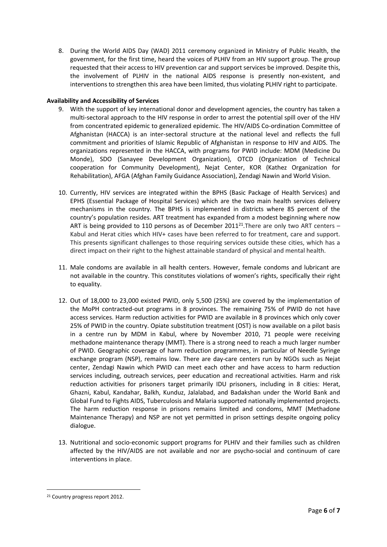8. During the World AIDS Day (WAD) 2011 ceremony organized in Ministry of Public Health, the government, for the first time, heard the voices of PLHIV from an HIV support group. The group requested that their access to HIV prevention car and support services be improved. Despite this, the involvement of PLHIV in the national AIDS response is presently non-existent, and interventions to strengthen this area have been limited, thus violating PLHIV right to participate.

# **Availability and Accessibility of Services**

- 9. With the support of key international donor and development agencies, the country has taken a multi-sectoral approach to the HIV response in order to arrest the potential spill over of the HIV from concentrated epidemic to generalized epidemic. The HIV/AIDS Co-ordination Committee of Afghanistan (HACCA) is an inter-sectoral structure at the national level and reflects the full commitment and priorities of Islamic Republic of Afghanistan in response to HIV and AIDS. The organizations represented in the HACCA, with programs for PWID include: MDM (Medicine Du Monde), SDO (Sanayee Development Organization), OTCD (Organization of Technical cooperation for Community Development), Nejat Center, KOR (Kathez Organization for Rehabilitation), AFGA (Afghan Family Guidance Association), Zendagi Nawin and World Vision.
- 10. Currently, HIV services are integrated within the BPHS (Basic Package of Health Services) and EPHS (Essential Package of Hospital Services) which are the two main health services delivery mechanisms in the country. The BPHS is implemented in districts where 85 percent of the country's population resides. ART treatment has expanded from a modest beginning where now ART is being provided to 110 persons as of December 2011<sup>21</sup>. There are only two ART centers  $-$ Kabul and Herat cities which HIV+ cases have been referred to for treatment, care and support. This presents significant challenges to those requiring services outside these cities, which has a direct impact on their right to the highest attainable standard of physical and mental health.
- 11. Male condoms are available in all health centers. However, female condoms and lubricant are not available in the country. This constitutes violations of women's rights, specifically their right to equality.
- 12. Out of 18,000 to 23,000 existed PWID, only 5,500 (25%) are covered by the implementation of the MoPH contracted-out programs in 8 provinces. The remaining 75% of PWID do not have access services. Harm reduction activities for PWID are available in 8 provinces which only cover 25% of PWID in the country. Opiate substitution treatment (OST) is now available on a pilot basis in a centre run by MDM in Kabul, where by November 2010, 71 people were receiving methadone maintenance therapy (MMT). There is a strong need to reach a much larger number of PWID. Geographic coverage of harm reduction programmes, in particular of Needle Syringe exchange program (NSP), remains low. There are day-care centers run by NGOs such as Nejat center, Zendagi Nawin which PWID can meet each other and have access to harm reduction services including, outreach services, peer education and recreational activities. Harm and risk reduction activities for prisoners target primarily IDU prisoners, including in 8 cities: Herat, Ghazni, Kabul, Kandahar, Balkh, Kunduz, Jalalabad, and Badakshan under the World Bank and Global Fund to Fights AIDS, Tuberculosis and Malaria supported nationally implemented projects. The harm reduction response in prisons remains limited and condoms, MMT (Methadone Maintenance Therapy) and NSP are not yet permitted in prison settings despite ongoing policy dialogue.
- 13. Nutritional and socio-economic support programs for PLHIV and their families such as children affected by the HIV/AIDS are not available and nor are psycho-social and continuum of care interventions in place.

1

<sup>21</sup> Country progress report 2012.